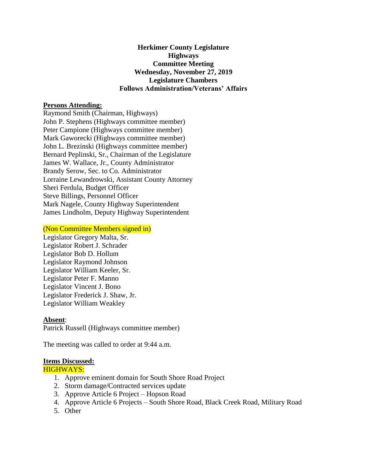## **Herkimer County Legislature Highways Committee Meeting Wednesday, November 27, 2019 Legislature Chambers Follows Administration/Veterans' Affairs**

### **Persons Attending:**

Raymond Smith (Chairman, Highways) John P. Stephens (Highways committee member) Peter Campione (Highways committee member) Mark Gaworecki (Highways committee member) John L. Brezinski (Highways committee member) Bernard Peplinski, Sr., Chairman of the Legislature James W. Wallace, Jr., County Administrator Brandy Serow, Sec. to Co. Administrator Lorraine Lewandrowski, Assistant County Attorney Sheri Ferdula, Budget Officer Steve Billings, Personnel Officer Mark Nagele, County Highway Superintendent James Lindholm, Deputy Highway Superintendent

#### (Non Committee Members signed in)

Legislator Gregory Malta, Sr. Legislator Robert J. Schrader Legislator Bob D. Hollum Legislator Raymond Johnson Legislator William Keeler, Sr. Legislator Peter F. Manno Legislator Vincent J. Bono Legislator Frederick J. Shaw, Jr. Legislator William Weakley

### **Absent**:

Patrick Russell (Highways committee member)

The meeting was called to order at 9:44 a.m.

### **Items Discussed:**

HIGHWAYS:

- 1. Approve eminent domain for South Shore Road Project
- 2. Storm damage/Contracted services update
- 3. Approve Article 6 Project Hopson Road
- 4. Approve Article 6 Projects South Shore Road, Black Creek Road, Military Road
- 5. Other